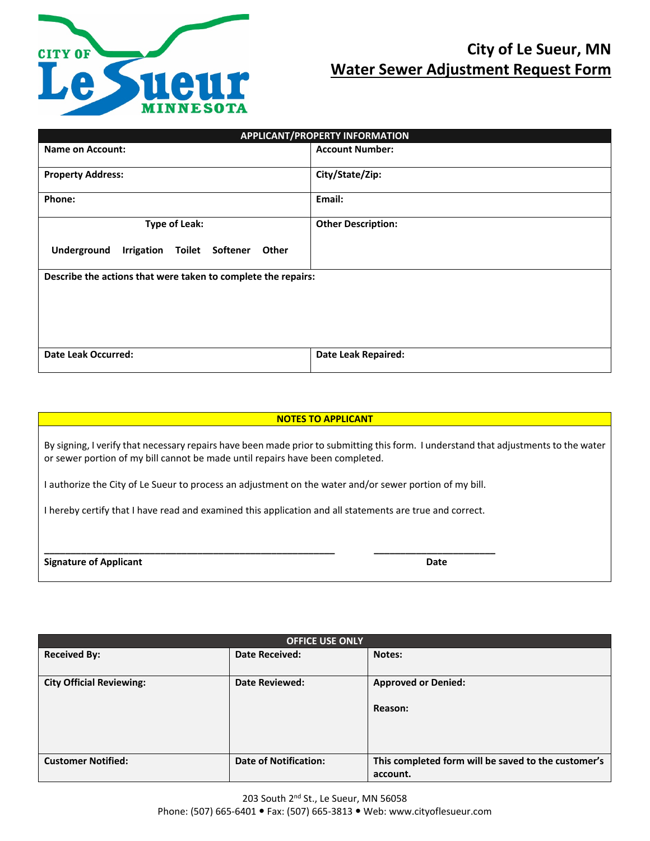

# **City of Le Sueur, MN Water Sewer Adjustment Request Form**

| APPLICANT/PROPERTY INFORMATION                                |                            |  |  |  |
|---------------------------------------------------------------|----------------------------|--|--|--|
| <b>Name on Account:</b>                                       | <b>Account Number:</b>     |  |  |  |
| <b>Property Address:</b>                                      | City/State/Zip:            |  |  |  |
| Phone:                                                        | Email:                     |  |  |  |
| <b>Type of Leak:</b>                                          | <b>Other Description:</b>  |  |  |  |
| Underground<br>Irrigation<br>Toilet Softener<br>Other         |                            |  |  |  |
| Describe the actions that were taken to complete the repairs: |                            |  |  |  |
| <b>Date Leak Occurred:</b>                                    | <b>Date Leak Repaired:</b> |  |  |  |

| <b>NOTES TO APPLICANT</b>                                                                                                                                                                                             |      |  |
|-----------------------------------------------------------------------------------------------------------------------------------------------------------------------------------------------------------------------|------|--|
| By signing, I verify that necessary repairs have been made prior to submitting this form. I understand that adjustments to the water<br>or sewer portion of my bill cannot be made until repairs have been completed. |      |  |
| I authorize the City of Le Sueur to process an adjustment on the water and/or sewer portion of my bill.                                                                                                               |      |  |
| I hereby certify that I have read and examined this application and all statements are true and correct.                                                                                                              |      |  |
| <b>Signature of Applicant</b>                                                                                                                                                                                         | Date |  |

| <b>OFFICE USE ONLY</b>          |                              |                                                     |
|---------------------------------|------------------------------|-----------------------------------------------------|
| <b>Received By:</b>             | <b>Date Received:</b>        | Notes:                                              |
|                                 |                              |                                                     |
| <b>City Official Reviewing:</b> | <b>Date Reviewed:</b>        | <b>Approved or Denied:</b>                          |
|                                 |                              |                                                     |
|                                 |                              | Reason:                                             |
|                                 |                              |                                                     |
|                                 |                              |                                                     |
|                                 |                              |                                                     |
| <b>Customer Notified:</b>       | <b>Date of Notification:</b> | This completed form will be saved to the customer's |
|                                 |                              | account.                                            |